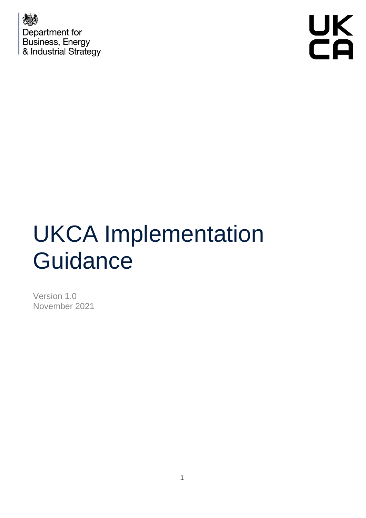



# UKCA Implementation **Guidance**

Version 1.0 November 2021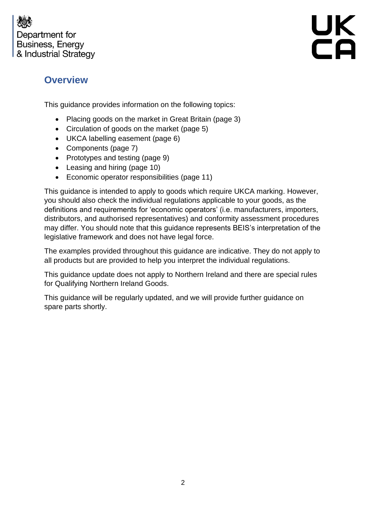

UK<br>CA

## **Overview**

This guidance provides information on the following topics:

- Placing goods on the market in Great Britain (page 3)
- Circulation of goods on the market (page 5)
- UKCA labelling easement (page 6)
- Components (page 7)
- Prototypes and testing (page 9)
- Leasing and hiring (page 10)
- Economic operator responsibilities (page 11)

This guidance is intended to apply to goods which require UKCA marking. However, you should also check the individual regulations applicable to your goods, as the definitions and requirements for 'economic operators' (i.e. manufacturers, importers, distributors, and authorised representatives) and conformity assessment procedures may differ. You should note that this guidance represents BEIS's interpretation of the legislative framework and does not have legal force.

The examples provided throughout this guidance are indicative. They do not apply to all products but are provided to help you interpret the individual regulations.

This guidance update does not apply to Northern Ireland and there are special rules for Qualifying Northern Ireland Goods.

This guidance will be regularly updated, and we will provide further guidance on spare parts shortly.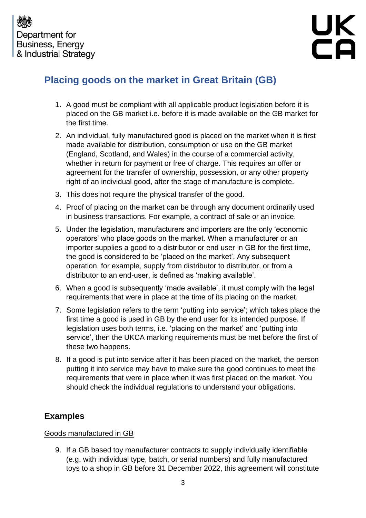

# **Placing goods on the market in Great Britain (GB)**

- 1. A good must be compliant with all applicable product legislation before it is placed on the GB market i.e. before it is made available on the GB market for the first time.
- 2. An individual, fully manufactured good is placed on the market when it is first made available for distribution, consumption or use on the GB market (England, Scotland, and Wales) in the course of a commercial activity, whether in return for payment or free of charge. This requires an offer or agreement for the transfer of ownership, possession, or any other property right of an individual good, after the stage of manufacture is complete.
- 3. This does not require the physical transfer of the good.
- 4. Proof of placing on the market can be through any document ordinarily used in business transactions. For example, a contract of sale or an invoice.
- 5. Under the legislation, manufacturers and importers are the only 'economic operators' who place goods on the market. When a manufacturer or an importer supplies a good to a distributor or end user in GB for the first time, the good is considered to be 'placed on the market'. Any subsequent operation, for example, supply from distributor to distributor, or from a distributor to an end-user, is defined as 'making available'.
- 6. When a good is subsequently 'made available', it must comply with the legal requirements that were in place at the time of its placing on the market.
- 7. Some legislation refers to the term 'putting into service'; which takes place the first time a good is used in GB by the end user for its intended purpose. If legislation uses both terms, i.e. 'placing on the market' and 'putting into service', then the UKCA marking requirements must be met before the first of these two happens.
- 8. If a good is put into service after it has been placed on the market, the person putting it into service may have to make sure the good continues to meet the requirements that were in place when it was first placed on the market. You should check the individual regulations to understand your obligations.

## **Examples**

#### Goods manufactured in GB

9. If a GB based toy manufacturer contracts to supply individually identifiable (e.g. with individual type, batch, or serial numbers) and fully manufactured toys to a shop in GB before 31 December 2022, this agreement will constitute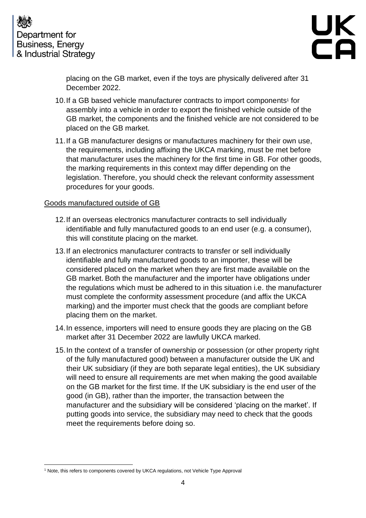



placing on the GB market, even if the toys are physically delivered after 31 December 2022.

- 10. If a GB based vehicle manufacturer contracts to import components<sup>1</sup> for assembly into a vehicle in order to export the finished vehicle outside of the GB market, the components and the finished vehicle are not considered to be placed on the GB market.
- 11.If a GB manufacturer designs or manufactures machinery for their own use, the requirements, including affixing the UKCA marking, must be met before that manufacturer uses the machinery for the first time in GB. For other goods, the marking requirements in this context may differ depending on the legislation. Therefore, you should check the relevant conformity assessment procedures for your goods.

#### Goods manufactured outside of GB

- 12.If an overseas electronics manufacturer contracts to sell individually identifiable and fully manufactured goods to an end user (e.g. a consumer), this will constitute placing on the market.
- 13.If an electronics manufacturer contracts to transfer or sell individually identifiable and fully manufactured goods to an importer, these will be considered placed on the market when they are first made available on the GB market. Both the manufacturer and the importer have obligations under the regulations which must be adhered to in this situation i.e. the manufacturer must complete the conformity assessment procedure (and affix the UKCA marking) and the importer must check that the goods are compliant before placing them on the market.
- 14.In essence, importers will need to ensure goods they are placing on the GB market after 31 December 2022 are lawfully UKCA marked.
- 15.In the context of a transfer of ownership or possession (or other property right of the fully manufactured good) between a manufacturer outside the UK and their UK subsidiary (if they are both separate legal entities), the UK subsidiary will need to ensure all requirements are met when making the good available on the GB market for the first time. If the UK subsidiary is the end user of the good (in GB), rather than the importer, the transaction between the manufacturer and the subsidiary will be considered 'placing on the market'. If putting goods into service, the subsidiary may need to check that the goods meet the requirements before doing so.

<sup>&</sup>lt;sup>1</sup> Note, this refers to components covered by UKCA regulations, not Vehicle Type Approval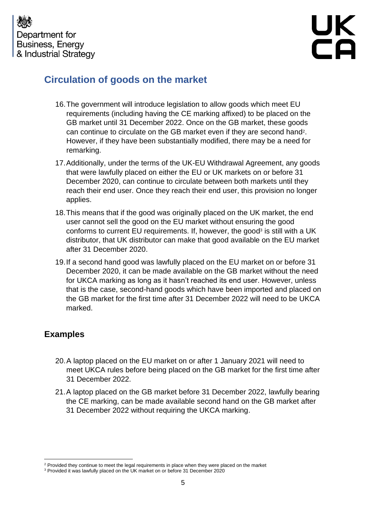



## **Circulation of goods on the market**

- 16.The government will introduce legislation to allow goods which meet EU requirements (including having the CE marking affixed) to be placed on the GB market until 31 December 2022. Once on the GB market, these goods can continue to circulate on the GB market even if they are second hand<sup>2</sup>. However, if they have been substantially modified, there may be a need for remarking.
- 17.Additionally, under the terms of the UK-EU Withdrawal Agreement, any goods that were lawfully placed on either the EU or UK markets on or before 31 December 2020, can continue to circulate between both markets until they reach their end user. Once they reach their end user, this provision no longer applies.
- 18.This means that if the good was originally placed on the UK market, the end user cannot sell the good on the EU market without ensuring the good conforms to current EU requirements. If, however, the good<sup>3</sup> is still with a UK distributor, that UK distributor can make that good available on the EU market after 31 December 2020.
- 19.If a second hand good was lawfully placed on the EU market on or before 31 December 2020, it can be made available on the GB market without the need for UKCA marking as long as it hasn't reached its end user. However, unless that is the case, second-hand goods which have been imported and placed on the GB market for the first time after 31 December 2022 will need to be UKCA marked.

## **Examples**

- 20.A laptop placed on the EU market on or after 1 January 2021 will need to meet UKCA rules before being placed on the GB market for the first time after 31 December 2022.
- 21.A laptop placed on the GB market before 31 December 2022, lawfully bearing the CE marking, can be made available second hand on the GB market after 31 December 2022 without requiring the UKCA marking.

<sup>&</sup>lt;sup>2</sup> Provided they continue to meet the legal requirements in place when they were placed on the market

<sup>3</sup> Provided it was lawfully placed on the UK market on or before 31 December 2020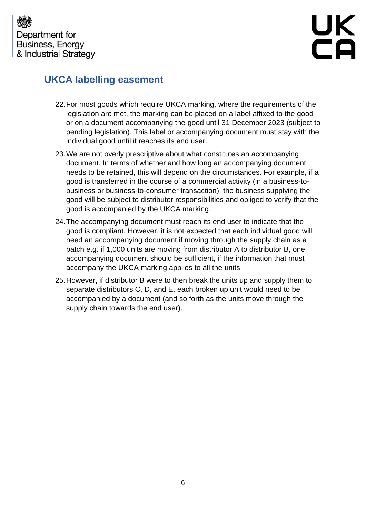



## **UKCA labelling easement**

- 22.For most goods which require UKCA marking, where the requirements of the legislation are met, the marking can be placed on a label affixed to the good or on a document accompanying the good until 31 December 2023 (subject to pending legislation). This label or accompanying document must stay with the individual good until it reaches its end user.
- 23.We are not overly prescriptive about what constitutes an accompanying document. In terms of whether and how long an accompanying document needs to be retained, this will depend on the circumstances. For example, if a good is transferred in the course of a commercial activity (in a business-tobusiness or business-to-consumer transaction), the business supplying the good will be subject to distributor responsibilities and obliged to verify that the good is accompanied by the UKCA marking.
- 24.The accompanying document must reach its end user to indicate that the good is compliant. However, it is not expected that each individual good will need an accompanying document if moving through the supply chain as a batch e.g. if 1,000 units are moving from distributor A to distributor B, one accompanying document should be sufficient, if the information that must accompany the UKCA marking applies to all the units.
- 25.However, if distributor B were to then break the units up and supply them to separate distributors C, D, and E, each broken up unit would need to be accompanied by a document (and so forth as the units move through the supply chain towards the end user).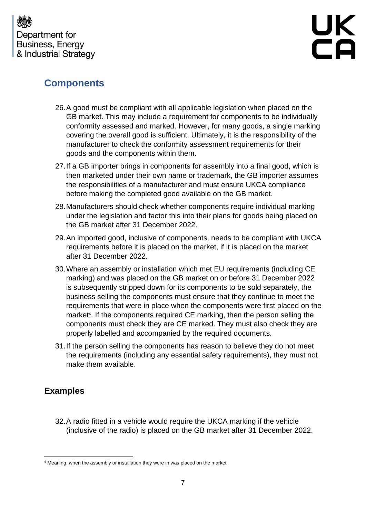

# **Components**

- 26.A good must be compliant with all applicable legislation when placed on the GB market. This may include a requirement for components to be individually conformity assessed and marked. However, for many goods, a single marking covering the overall good is sufficient. Ultimately, it is the responsibility of the manufacturer to check the conformity assessment requirements for their goods and the components within them.
- 27.If a GB importer brings in components for assembly into a final good, which is then marketed under their own name or trademark, the GB importer assumes the responsibilities of a manufacturer and must ensure UKCA compliance before making the completed good available on the GB market.
- 28.Manufacturers should check whether components require individual marking under the legislation and factor this into their plans for goods being placed on the GB market after 31 December 2022.
- 29.An imported good, inclusive of components, needs to be compliant with UKCA requirements before it is placed on the market, if it is placed on the market after 31 December 2022.
- 30.Where an assembly or installation which met EU requirements (including CE marking) and was placed on the GB market on or before 31 December 2022 is subsequently stripped down for its components to be sold separately, the business selling the components must ensure that they continue to meet the requirements that were in place when the components were first placed on the market<sup>4</sup>. If the components required CE marking, then the person selling the components must check they are CE marked. They must also check they are properly labelled and accompanied by the required documents.
- 31.If the person selling the components has reason to believe they do not meet the requirements (including any essential safety requirements), they must not make them available.

## **Examples**

32.A radio fitted in a vehicle would require the UKCA marking if the vehicle (inclusive of the radio) is placed on the GB market after 31 December 2022.

<sup>4</sup> Meaning, when the assembly or installation they were in was placed on the market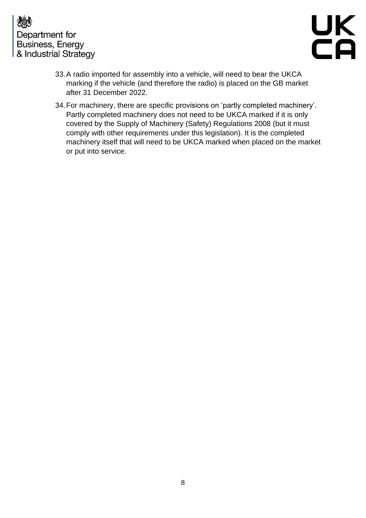



- 33.A radio imported for assembly into a vehicle, will need to bear the UKCA marking if the vehicle (and therefore the radio) is placed on the GB market after 31 December 2022.
- 34.For machinery, there are specific provisions on 'partly completed machinery'. Partly completed machinery does not need to be UKCA marked if it is only covered by the Supply of Machinery (Safety) Regulations 2008 (but it must comply with other requirements under this legislation). It is the completed machinery itself that will need to be UKCA marked when placed on the market or put into service.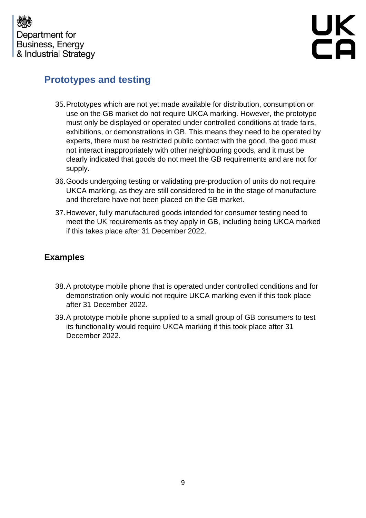



# **Prototypes and testing**

- 35.Prototypes which are not yet made available for distribution, consumption or use on the GB market do not require UKCA marking. However, the prototype must only be displayed or operated under controlled conditions at trade fairs, exhibitions, or demonstrations in GB. This means they need to be operated by experts, there must be restricted public contact with the good, the good must not interact inappropriately with other neighbouring goods, and it must be clearly indicated that goods do not meet the GB requirements and are not for supply.
- 36.Goods undergoing testing or validating pre-production of units do not require UKCA marking, as they are still considered to be in the stage of manufacture and therefore have not been placed on the GB market.
- 37.However, fully manufactured goods intended for consumer testing need to meet the UK requirements as they apply in GB, including being UKCA marked if this takes place after 31 December 2022.

## **Examples**

- 38.A prototype mobile phone that is operated under controlled conditions and for demonstration only would not require UKCA marking even if this took place after 31 December 2022.
- 39.A prototype mobile phone supplied to a small group of GB consumers to test its functionality would require UKCA marking if this took place after 31 December 2022.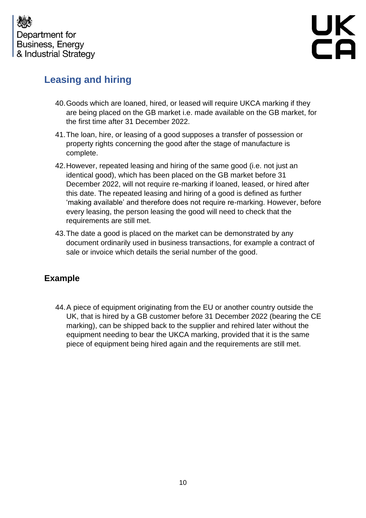

# **Leasing and hiring**

- 40.Goods which are loaned, hired, or leased will require UKCA marking if they are being placed on the GB market i.e. made available on the GB market, for the first time after 31 December 2022.
- 41.The loan, hire, or leasing of a good supposes a transfer of possession or property rights concerning the good after the stage of manufacture is complete.
- 42.However, repeated leasing and hiring of the same good (i.e. not just an identical good), which has been placed on the GB market before 31 December 2022, will not require re-marking if loaned, leased, or hired after this date. The repeated leasing and hiring of a good is defined as further 'making available' and therefore does not require re-marking. However, before every leasing, the person leasing the good will need to check that the requirements are still met.
- 43.The date a good is placed on the market can be demonstrated by any document ordinarily used in business transactions, for example a contract of sale or invoice which details the serial number of the good.

## **Example**

44.A piece of equipment originating from the EU or another country outside the UK, that is hired by a GB customer before 31 December 2022 (bearing the CE marking), can be shipped back to the supplier and rehired later without the equipment needing to bear the UKCA marking, provided that it is the same piece of equipment being hired again and the requirements are still met.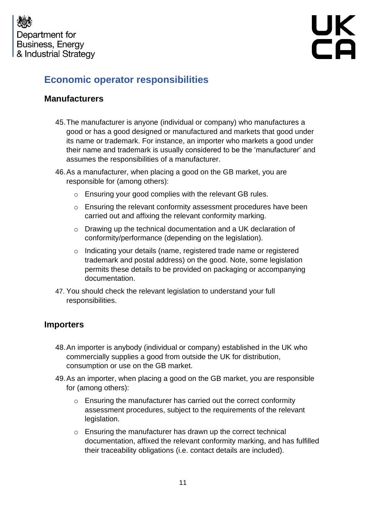



## **Economic operator responsibilities**

#### **Manufacturers**

- 45.The manufacturer is anyone (individual or company) who manufactures a good or has a good designed or manufactured and markets that good under its name or trademark. For instance, an importer who markets a good under their name and trademark is usually considered to be the 'manufacturer' and assumes the responsibilities of a manufacturer.
- 46.As a manufacturer, when placing a good on the GB market, you are responsible for (among others):
	- o Ensuring your good complies with the relevant GB rules.
	- $\circ$  Ensuring the relevant conformity assessment procedures have been carried out and affixing the relevant conformity marking.
	- o Drawing up the technical documentation and a UK declaration of conformity/performance (depending on the legislation).
	- o Indicating your details (name, registered trade name or registered trademark and postal address) on the good. Note, some legislation permits these details to be provided on packaging or accompanying documentation.
- 47. You should check the relevant legislation to understand your full responsibilities.

#### **Importers**

- 48.An importer is anybody (individual or company) established in the UK who commercially supplies a good from outside the UK for distribution, consumption or use on the GB market.
- 49.As an importer, when placing a good on the GB market, you are responsible for (among others):
	- o Ensuring the manufacturer has carried out the correct conformity assessment procedures, subject to the requirements of the relevant legislation.
	- o Ensuring the manufacturer has drawn up the correct technical documentation, affixed the relevant conformity marking, and has fulfilled their traceability obligations (i.e. contact details are included).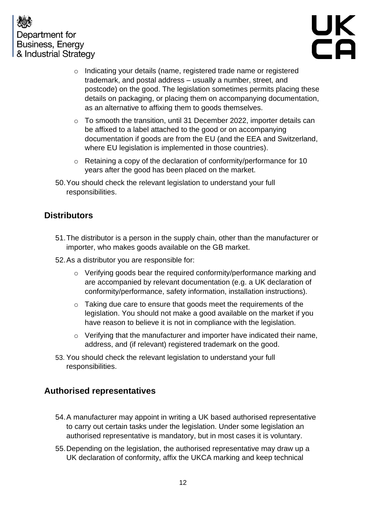



- o Indicating your details (name, registered trade name or registered trademark, and postal address – usually a number, street, and postcode) on the good. The legislation sometimes permits placing these details on packaging, or placing them on accompanying documentation, as an alternative to affixing them to goods themselves.
- $\circ$  To smooth the transition, until 31 December 2022, importer details can be affixed to a label attached to the good or on accompanying documentation if goods are from the EU (and the EEA and Switzerland, where EU legislation is implemented in those countries).
- o Retaining a copy of the declaration of conformity/performance for 10 years after the good has been placed on the market.
- 50.You should check the relevant legislation to understand your full responsibilities.

## **Distributors**

- 51.The distributor is a person in the supply chain, other than the manufacturer or importer, who makes goods available on the GB market.
- 52.As a distributor you are responsible for:
	- o Verifying goods bear the required conformity/performance marking and are accompanied by relevant documentation (e.g. a UK declaration of conformity/performance, safety information, installation instructions).
	- o Taking due care to ensure that goods meet the requirements of the legislation. You should not make a good available on the market if you have reason to believe it is not in compliance with the legislation.
	- o Verifying that the manufacturer and importer have indicated their name, address, and (if relevant) registered trademark on the good.
- 53. You should check the relevant legislation to understand your full responsibilities.

## **Authorised representatives**

- 54.A manufacturer may appoint in writing a UK based authorised representative to carry out certain tasks under the legislation. Under some legislation an authorised representative is mandatory, but in most cases it is voluntary.
- 55.Depending on the legislation, the authorised representative may draw up a UK declaration of conformity, affix the UKCA marking and keep technical